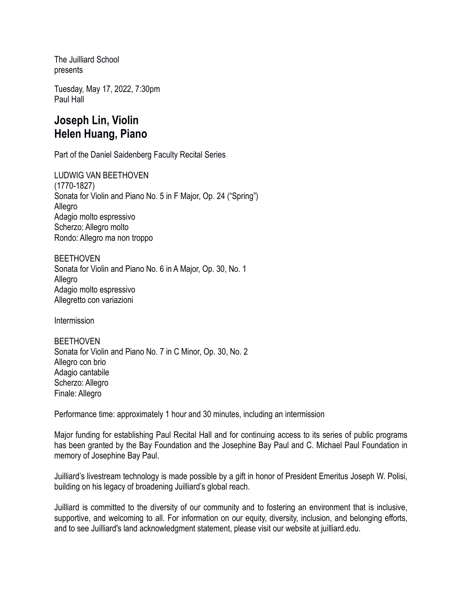The Juilliard School presents

Tuesday, May 17, 2022, 7:30pm Paul Hall

# **Joseph Lin, Violin Helen Huang, Piano**

Part of the Daniel Saidenberg Faculty Recital Series

LUDWIG VAN BEETHOVEN (1770-1827) Sonata for Violin and Piano No. 5 in F Major, Op. 24 ("Spring") Allegro Adagio molto espressivo Scherzo: Allegro molto Rondo: Allegro ma non troppo

BEETHOVEN Sonata for Violin and Piano No. 6 in A Major, Op. 30, No. 1 Allegro Adagio molto espressivo Allegretto con variazioni

Intermission

**BEETHOVEN** Sonata for Violin and Piano No. 7 in C Minor, Op. 30, No. 2 Allegro con brio Adagio cantabile Scherzo: Allegro Finale: Allegro

Performance time: approximately 1 hour and 30 minutes, including an intermission

Major funding for establishing Paul Recital Hall and for continuing access to its series of public programs has been granted by the Bay Foundation and the Josephine Bay Paul and C. Michael Paul Foundation in memory of Josephine Bay Paul.

Juilliard's livestream technology is made possible by a gift in honor of President Emeritus Joseph W. Polisi, building on his legacy of broadening Juilliard's global reach.

Juilliard is committed to the diversity of our community and to fostering an environment that is inclusive, supportive, and welcoming to all. For information on our equity, diversity, inclusion, and belonging efforts, and to see Juilliard's land acknowledgment statement, please visit our website at juilliard.edu.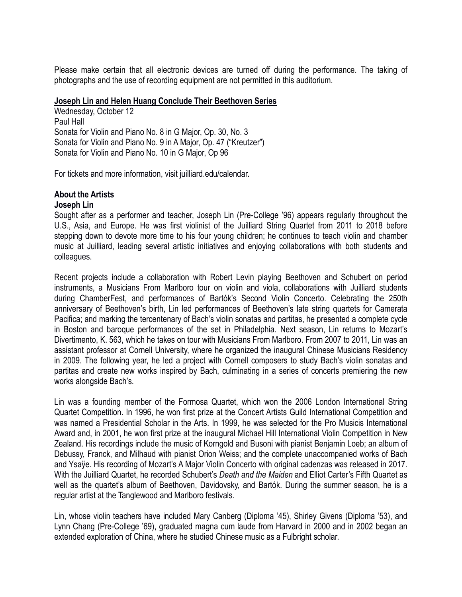Please make certain that all electronic devices are turned off during the performance. The taking of photographs and the use of recording equipment are not permitted in this auditorium.

### **Joseph Lin and Helen Huang Conclude Their Beethoven Series**

Wednesday, October 12 Paul Hall Sonata for Violin and Piano No. 8 in G Major, Op. 30, No. 3 Sonata for Violin and Piano No. 9 in A Major, Op. 47 ("Kreutzer") Sonata for Violin and Piano No. 10 in G Major, Op 96

For tickets and more information, visit juilliard.edu/calendar.

## **About the Artists**

### **Joseph Lin**

Sought after as a performer and teacher, Joseph Lin (Pre-College '96) appears regularly throughout the U.S., Asia, and Europe. He was first violinist of the Juilliard String Quartet from 2011 to 2018 before stepping down to devote more time to his four young children; he continues to teach violin and chamber music at Juilliard, leading several artistic initiatives and enjoying collaborations with both students and colleagues.

Recent projects include a collaboration with Robert Levin playing Beethoven and Schubert on period instruments, a Musicians From Marlboro tour on violin and viola, collaborations with Juilliard students during ChamberFest, and performances of Bartók's Second Violin Concerto. Celebrating the 250th anniversary of Beethoven's birth, Lin led performances of Beethoven's late string quartets for Camerata Pacifica; and marking the tercentenary of Bach's violin sonatas and partitas, he presented a complete cycle in Boston and baroque performances of the set in Philadelphia. Next season, Lin returns to Mozart's Divertimento, K. 563, which he takes on tour with Musicians From Marlboro. From 2007 to 2011, Lin was an assistant professor at Cornell University, where he organized the inaugural Chinese Musicians Residency in 2009. The following year, he led a project with Cornell composers to study Bach's violin sonatas and partitas and create new works inspired by Bach, culminating in a series of concerts premiering the new works alongside Bach's.

Lin was a founding member of the Formosa Quartet, which won the 2006 London International String Quartet Competition. In 1996, he won first prize at the Concert Artists Guild International Competition and was named a Presidential Scholar in the Arts. In 1999, he was selected for the Pro Musicis International Award and, in 2001, he won first prize at the inaugural Michael Hill International Violin Competition in New Zealand. His recordings include the music of Korngold and Busoni with pianist Benjamin Loeb; an album of Debussy, Franck, and Milhaud with pianist Orion Weiss; and the complete unaccompanied works of Bach and Ysaÿe. His recording of Mozart's A Major Violin Concerto with original cadenzas was released in 2017. With the Juilliard Quartet, he recorded Schubert's *Death and the Maiden* and Elliot Carter's Fifth Quartet as well as the quartet's album of Beethoven, Davidovsky, and Bartók. During the summer season, he is a regular artist at the Tanglewood and Marlboro festivals.

Lin, whose violin teachers have included Mary Canberg (Diploma '45), Shirley Givens (Diploma '53), and Lynn Chang (Pre-College '69), graduated magna cum laude from Harvard in 2000 and in 2002 began an extended exploration of China, where he studied Chinese music as a Fulbright scholar.